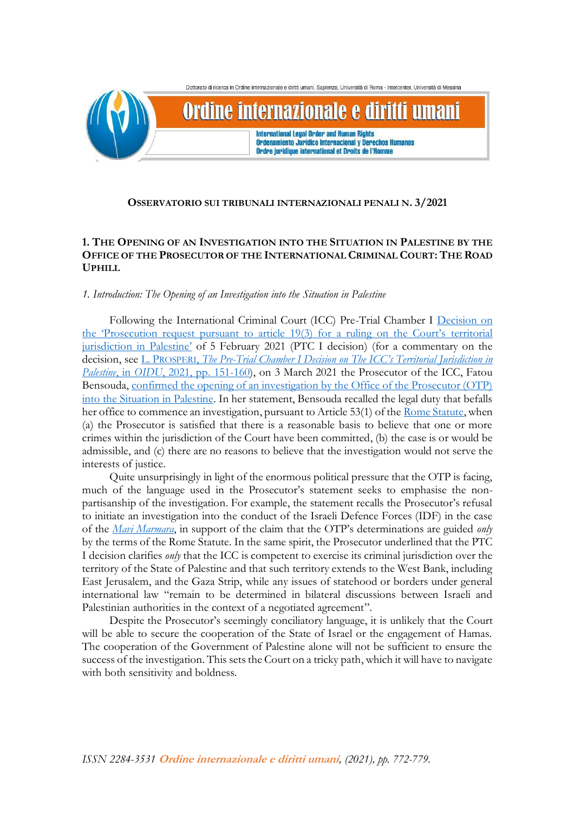

# **OSSERVATORIO SUI TRIBUNALI INTERNAZIONALI PENALI N. 3/2021**

# **1. THE OPENING OF AN INVESTIGATION INTO THE SITUATION IN PALESTINE BY THE OFFICE OF THE PROSECUTOR OF THE INTERNATIONAL CRIMINAL COURT: THE ROAD UPHILL**

# *1. Introduction: The Opening of an Investigation into the Situation in Palestine*

Following the International Criminal Court (ICC) Pre-Trial Chamber I Decision on [the 'Prosecution request pursuant to article 19\(3\) for a ruling on the Court's](https://www.icc-cpi.int/CourtRecords/CR2021_01165.PDF) territorial [jurisdiction in Palestine'](https://www.icc-cpi.int/CourtRecords/CR2021_01165.PDF) of 5 February 2021 (PTC I decision) (for a commentary on the decision, see L. PROSPERI, *The Pre-[Trial Chamber I Decision on The ICC's T](http://www.rivistaoidu.net/sites/default/files/1_TPI_1_2021_0.pdf)erritorial Jurisdiction in Palestine*, in *OIDU*[, 2021, pp.](http://www.rivistaoidu.net/sites/default/files/1_TPI_1_2021_0.pdf) 151-160), on 3 March 2021 the Prosecutor of the ICC, Fatou Bensouda, [confirmed the opening of an investigation by the Office of the Prosecutor \(OTP\)](https://www.icc-cpi.int/Pages/item.aspx?name=210303-prosecutor-statement-investigation-palestine)  [into the Situation in Palestine.](https://www.icc-cpi.int/Pages/item.aspx?name=210303-prosecutor-statement-investigation-palestine) In her statement, Bensouda recalled the legal duty that befalls her office to commence an investigation, pursuant to Article 53(1) of th[e Rome Statute,](https://www.icc-cpi.int/resource-library/documents/rs-eng.pdf) when (a) the Prosecutor is satisfied that there is a reasonable basis to believe that one or more crimes within the jurisdiction of the Court have been committed, (b) the case is or would be admissible, and (c) there are no reasons to believe that the investigation would not serve the interests of justice.

Quite unsurprisingly in light of the enormous political pressure that the OTP is facing, much of the language used in the Prosecutor's statement seeks to emphasise the nonpartisanship of the investigation. For example, the statement recalls the Prosecutor's refusal to initiate an investigation into the conduct of the Israeli Defence Forces (IDF) in the case of the *[Mavi Marmara](https://www.icc-cpi.int/RelatedRecords/CR2019_07299.PDF)*, in support of the claim that the OTP's determinations are guided *only* by the terms of the Rome Statute. In the same spirit, the Prosecutor underlined that the PTC I decision clarifies *only* that the ICC is competent to exercise its criminal jurisdiction over the territory of the State of Palestine and that such territory extends to the West Bank, including East Jerusalem, and the Gaza Strip, while any issues of statehood or borders under general international law "remain to be determined in bilateral discussions between Israeli and Palestinian authorities in the context of a negotiated agreement".

Despite the Prosecutor's seemingly conciliatory language, it is unlikely that the Court will be able to secure the cooperation of the State of Israel or the engagement of Hamas. The cooperation of the Government of Palestine alone will not be sufficient to ensure the success of the investigation. This sets the Court on a tricky path, which it will have to navigate with both sensitivity and boldness.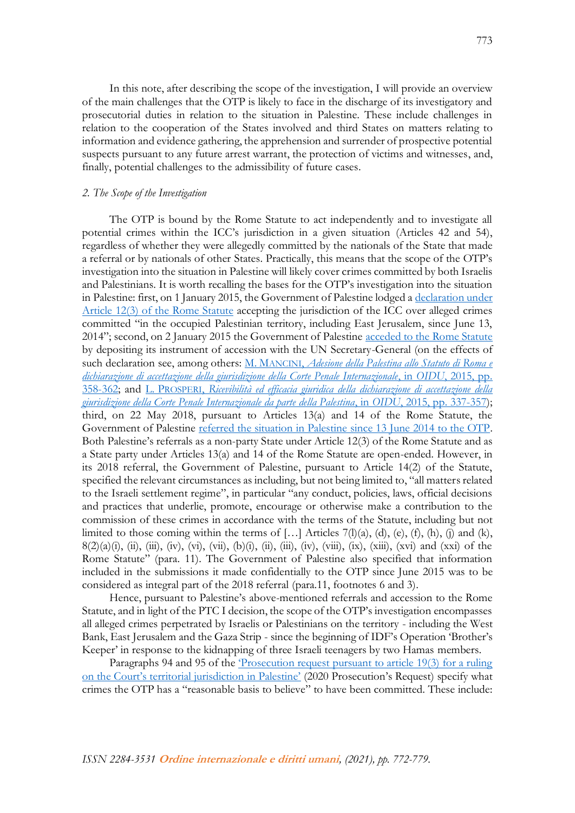In this note, after describing the scope of the investigation, I will provide an overview of the main challenges that the OTP is likely to face in the discharge of its investigatory and prosecutorial duties in relation to the situation in Palestine. These include challenges in relation to the cooperation of the States involved and third States on matters relating to information and evidence gathering, the apprehension and surrender of prospective potential suspects pursuant to any future arrest warrant, the protection of victims and witnesses, and, finally, potential challenges to the admissibility of future cases.

# *2. The Scope of the Investigation*

The OTP is bound by the Rome Statute to act independently and to investigate all potential crimes within the ICC's jurisdiction in a given situation (Articles 42 and 54), regardless of whether they were allegedly committed by the nationals of the State that made a referral or by nationals of other States. Practically, this means that the scope of the OTP's investigation into the situation in Palestine will likely cover crimes committed by both Israelis and Palestinians. It is worth recalling the bases for the OTP's investigation into the situation in Palestine: first, on 1 January 2015, the Government of Palestine lodged [a declaration under](https://www.icc-cpi.int/iccdocs/PIDS/press/Palestine_A_12-3.pdf)  [Article 12\(3\) of the Rome Statute](https://www.icc-cpi.int/iccdocs/PIDS/press/Palestine_A_12-3.pdf) accepting the jurisdiction of the ICC over alleged crimes committed "in the occupied Palestinian territory, including East Jerusalem, since June 13, 2014"; second, on 2 January 2015 the Government of Palestine [acceded to the Rome Statute](https://asp.icc-cpi.int/en_menus/asp/states%20parties/asian%20states/Pages/Palestine.aspx) by depositing its instrument of accession with the UN Secretary-General (on the effects of such declaration see, among others: M. MANCINI, *[Adesione della Palestina allo Statuto di Roma e](http://www.rivistaoidu.net/sites/default/files/1_paragrafo_1_CPI%202%202015.pdf)  [dichiarazione di accettazione della giurisdizione della Corte Penale Internazionale](http://www.rivistaoidu.net/sites/default/files/1_paragrafo_1_CPI%202%202015.pdf)*, in *OIDU*, 2015, pp. [358-362;](http://www.rivistaoidu.net/sites/default/files/1_paragrafo_1_CPI%202%202015.pdf) and L. PROSPERI, *[Ricevibilità ed efficacia giuridica della dichiarazione di accettazione della](http://www.rivistaoidu.net/sites/default/files/7.%20Prosperi%20.pdf)  [giurisdizione della Corte Penale Internazionale da parte della Palestina](http://www.rivistaoidu.net/sites/default/files/7.%20Prosperi%20.pdf)*, in *OIDU*, 2015, pp. 337-357); third, on 22 May 2018, pursuant to Articles 13(a) and 14 of the Rome Statute, the Government of Palestine [referred the situation in Palestine since 13 June 2014 to the OTP.](https://www.icc-cpi.int/itemsDocuments/2018-05-22_ref-palestine.pdf) Both Palestine's referrals as a non-party State under Article 12(3) of the Rome Statute and as a State party under Articles 13(a) and 14 of the Rome Statute are open-ended. However, in its 2018 referral, the Government of Palestine, pursuant to Article 14(2) of the Statute, specified the relevant circumstances as including, but not being limited to, "all matters related to the Israeli settlement regime", in particular "any conduct, policies, laws, official decisions and practices that underlie, promote, encourage or otherwise make a contribution to the commission of these crimes in accordance with the terms of the Statute, including but not limited to those coming within the terms of [...] Articles  $7(1)(a)$ ,  $(d)$ ,  $(e)$ ,  $(f)$ ,  $(h)$ ,  $(i)$  and  $(k)$ ,  $8(2)(a)(i)$ , (ii), (iii), (iv), (vi), (vii), (b)(i), (ii), (iii), (iv), (viii), (ix), (xiii), (xvi) and (xxi) of the Rome Statute" (para. 11). The Government of Palestine also specified that information included in the submissions it made confidentially to the OTP since June 2015 was to be considered as integral part of the 2018 referral (para.11, footnotes 6 and 3).

Hence, pursuant to Palestine's above-mentioned referrals and accession to the Rome Statute, and in light of the PTC I decision, the scope of the OTP's investigation encompasses all alleged crimes perpetrated by Israelis or Palestinians on the territory - including the West Bank, East Jerusalem and the Gaza Strip - since the beginning of IDF's Operation 'Brother's Keeper' in response to the kidnapping of three Israeli teenagers by two Hamas members.

Paragraphs 94 and 95 of the ['Prosecution request pursuant to article 19\(3\) for a ruling](https://www.icc-cpi.int/CourtRecords/CR2020_00161.PDF)  [on the Court's territorial jurisdiction in Palestine'](https://www.icc-cpi.int/CourtRecords/CR2020_00161.PDF) (2020 Prosecution's Request) specify what crimes the OTP has a "reasonable basis to believe" to have been committed. These include: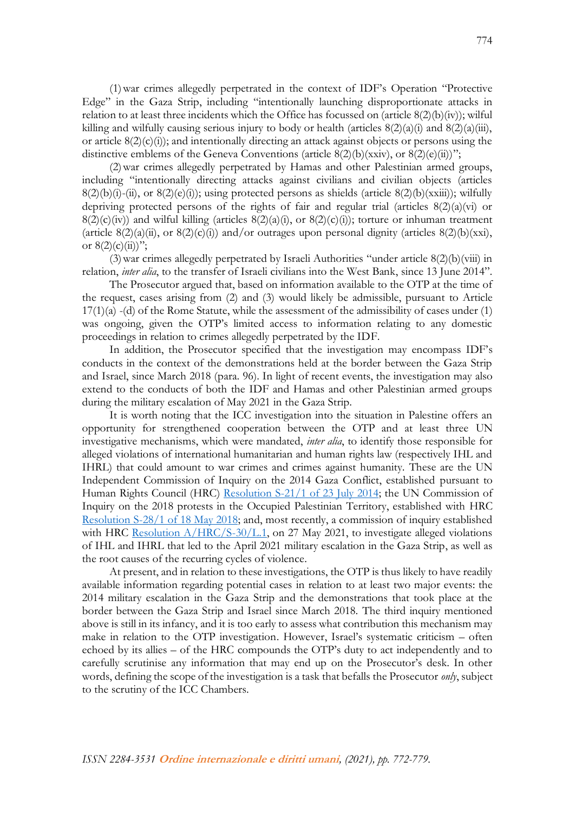(1)war crimes allegedly perpetrated in the context of IDF's Operation "Protective Edge" in the Gaza Strip, including "intentionally launching disproportionate attacks in relation to at least three incidents which the Office has focussed on (article 8(2)(b)(iv)); wilful killing and wilfully causing serious injury to body or health (articles  $8(2)(a)(i)$  and  $8(2)(a)(iii)$ , or article  $8(2)(c)(i)$ ; and intentionally directing an attack against objects or persons using the distinctive emblems of the Geneva Conventions (article  $8(2)(b)(xxiv)$ , or  $8(2)(e)(ii)$ ";

(2)war crimes allegedly perpetrated by Hamas and other Palestinian armed groups, including "intentionally directing attacks against civilians and civilian objects (articles  $8(2)(b)(i)-(ii)$ , or  $8(2)(e)(i)$ ; using protected persons as shields (article  $8(2)(b)(xxiii)$ ); wilfully depriving protected persons of the rights of fair and regular trial (articles  $8(2)(a)(vi)$  or  $8(2)(c)(iv)$  and wilful killing (articles  $8(2)(a)(i)$ , or  $8(2)(c)(i)$ ); torture or inhuman treatment (article  $8(2)(a)(ii)$ , or  $8(2)(c)(i)$ ) and/or outrages upon personal dignity (articles  $8(2)(b)(xxi)$ , or  $8(2)(c)(ii)$ ";

(3)war crimes allegedly perpetrated by Israeli Authorities "under article 8(2)(b)(viii) in relation, *inter alia*, to the transfer of Israeli civilians into the West Bank, since 13 June 2014".

The Prosecutor argued that, based on information available to the OTP at the time of the request, cases arising from (2) and (3) would likely be admissible, pursuant to Article  $17(1)(a) - (d)$  of the Rome Statute, while the assessment of the admissibility of cases under  $(1)$ was ongoing, given the OTP's limited access to information relating to any domestic proceedings in relation to crimes allegedly perpetrated by the IDF.

In addition, the Prosecutor specified that the investigation may encompass IDF's conducts in the context of the demonstrations held at the border between the Gaza Strip and Israel, since March 2018 (para. 96). In light of recent events, the investigation may also extend to the conducts of both the IDF and Hamas and other Palestinian armed groups during the military escalation of May 2021 in the Gaza Strip.

It is worth noting that the ICC investigation into the situation in Palestine offers an opportunity for strengthened cooperation between the OTP and at least three UN investigative mechanisms, which were mandated, *inter alia*, to identify those responsible for alleged violations of international humanitarian and human rights law (respectively IHL and IHRL) that could amount to war crimes and crimes against humanity. These are the UN Independent Commission of Inquiry on the 2014 Gaza Conflict, established pursuant to Human Rights Council (HRC) [Resolution S-21/1 of 23 July 2014;](https://undocs.org/A/HRC/res/S-21/1) the UN Commission of Inquiry on the 2018 protests in the Occupied Palestinian Territory, established with HRC [Resolution S-28/1 of 18 May 2018;](https://undocs.org/A/HRC/res/S-28/1) and, most recently, a commission of inquiry established with HRC Resolution  $A/HRC/S-30/L.1$ , on 27 May 2021, to investigate alleged violations of IHL and IHRL that led to the April 2021 military escalation in the Gaza Strip, as well as the root causes of the recurring cycles of violence.

At present, and in relation to these investigations, the OTP is thus likely to have readily available information regarding potential cases in relation to at least two major events: the 2014 military escalation in the Gaza Strip and the demonstrations that took place at the border between the Gaza Strip and Israel since March 2018. The third inquiry mentioned above is still in its infancy, and it is too early to assess what contribution this mechanism may make in relation to the OTP investigation. However, Israel's systematic criticism – often echoed by its allies – of the HRC compounds the OTP's duty to act independently and to carefully scrutinise any information that may end up on the Prosecutor's desk. In other words, defining the scope of the investigation is a task that befalls the Prosecutor *only*, subject to the scrutiny of the ICC Chambers.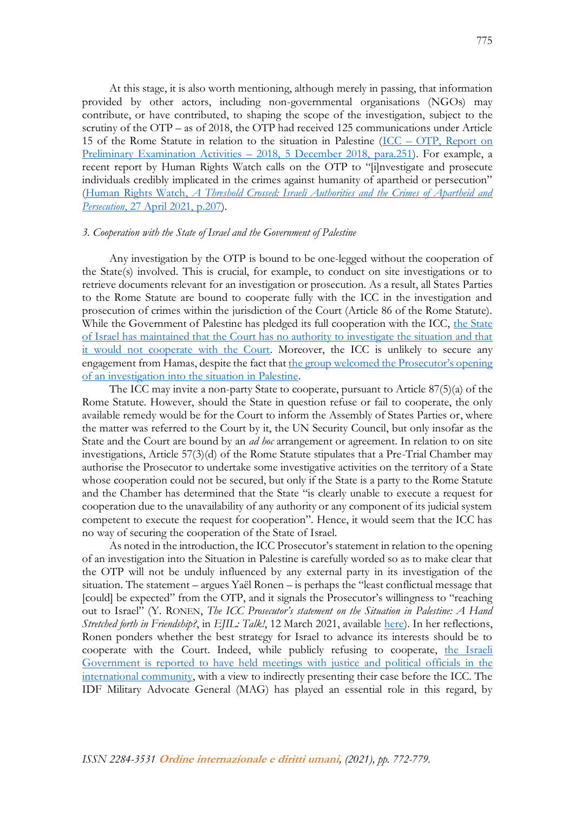At this stage, it is also worth mentioning, although merely in passing, that information provided by other actors, including non-governmental organisations (NGOs) may contribute, or have contributed, to shaping the scope of the investigation, subject to the scrutiny of the OTP – as of 2018, the OTP had received 125 communications under Article 15 of the Rome Statute in relation to the situation in Palestine (ICC – [OTP, Report on](https://www.icc-cpi.int/itemsDocuments/181205-rep-otp-PE-ENG.pdf)  [Preliminary Examination Activities](https://www.icc-cpi.int/itemsDocuments/181205-rep-otp-PE-ENG.pdf) – 2018, 5 December 2018, para.251). For example, a recent report by Human Rights Watch calls on the OTP to "[i]nvestigate and prosecute individuals credibly implicated in the crimes against humanity of apartheid or persecution" (Human Rights Watch, *[A Threshold Crossed: Israeli Authorities and the Crimes of Apartheid and](https://www.hrw.org/sites/default/files/media_2021/04/israel_palestine0421_web_0.pdf)  Persecution*[, 27 April 2021, p.207\)](https://www.hrw.org/sites/default/files/media_2021/04/israel_palestine0421_web_0.pdf).

#### *3. Cooperation with the State of Israel and the Government of Palestine*

Any investigation by the OTP is bound to be one-legged without the cooperation of the State(s) involved. This is crucial, for example, to conduct on site investigations or to retrieve documents relevant for an investigation or prosecution. As a result, all States Parties to the Rome Statute are bound to cooperate fully with the ICC in the investigation and prosecution of crimes within the jurisdiction of the Court (Article 86 of the Rome Statute). While the Government of Palestine has pledged its full cooperation with the ICC, the State of [Israel has maintained that the Court has no authority to investigate the situation and that](https://mfa.gov.il/MFA/PressRoom/2021/Pages/PM-Netanyahu-holds-discussions-on-Israeli-policy-regarding-the-statement-of-the-international-court-in-The-Hague-8-April-20.aspx)  [it would not cooperate with the Court.](https://mfa.gov.il/MFA/PressRoom/2021/Pages/PM-Netanyahu-holds-discussions-on-Israeli-policy-regarding-the-statement-of-the-international-court-in-The-Hague-8-April-20.aspx) Moreover, the ICC is unlikely to secure any engagement from Hamas, despite the fact that the group welcomed the Prosecutor's opening [of an investigation into the situation in Palestine.](https://hamas.ps/en/post/3288/Hamas-hails-ICC-s-probe-into-Israeli-crimes-against-Palestinians)

The ICC may invite a non-party State to cooperate, pursuant to Article 87(5)(a) of the Rome Statute. However, should the State in question refuse or fail to cooperate, the only available remedy would be for the Court to inform the Assembly of States Parties or, where the matter was referred to the Court by it, the UN Security Council, but only insofar as the State and the Court are bound by an *ad hoc* arrangement or agreement. In relation to on site investigations, Article 57(3)(d) of the Rome Statute stipulates that a Pre-Trial Chamber may authorise the Prosecutor to undertake some investigative activities on the territory of a State whose cooperation could not be secured, but only if the State is a party to the Rome Statute and the Chamber has determined that the State "is clearly unable to execute a request for cooperation due to the unavailability of any authority or any component of its judicial system competent to execute the request for cooperation". Hence, it would seem that the ICC has no way of securing the cooperation of the State of Israel.

As noted in the introduction, the ICC Prosecutor's statement in relation to the opening of an investigation into the Situation in Palestine is carefully worded so as to make clear that the OTP will not be unduly influenced by any external party in its investigation of the situation. The statement – argues Yaël Ronen – is perhaps the "least conflictual message that [could] be expected" from the OTP, and it signals the Prosecutor's willingness to "reaching out to Israel" (Y. RONEN, *The ICC Prosecutor's statement on the Situation in Palestine: A Hand Stretched forth in Friendship?*, in *EJIL: Talk!*, 12 March 2021, available [here\)](https://www.ejiltalk.org/the-icc-prosecutors-statement-on-the-situation-in-palestine-a-hand-stretched-forth-in-friendship/?utm_source=mailpoet&utm_medium=email&utm_campaign=ejil-talk-newsletter-post-title_2). In her reflections, Ronen ponders whether the best strategy for Israel to advance its interests should be to cooperate with the Court. Indeed, while publicly refusing to cooperate, the Israeli [Government is reported to have held meetings with justice and political officials in the](https://www.haaretz.com/israel-news/.premium-israel-presenting-case-to-icc-through-mediators-after-official-refusal-to-cooperate-1.9744881)  [international community,](https://www.haaretz.com/israel-news/.premium-israel-presenting-case-to-icc-through-mediators-after-official-refusal-to-cooperate-1.9744881) with a view to indirectly presenting their case before the ICC. The IDF Military Advocate General (MAG) has played an essential role in this regard, by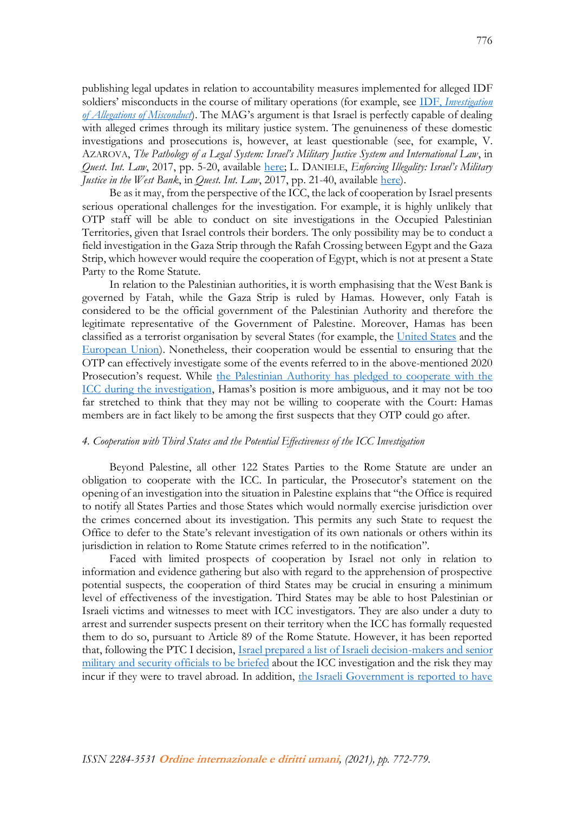publishing legal updates in relation to accountability measures implemented for alleged IDF soldiers' misconducts in the course of military operations (for example, see IDF, *[Investigation](https://www.idf.il/en/minisites/questions-and-answers-concerning-the-violent-riots-and-attacks-occurring-on-the-border-between-gaza-and-israel-during-2018-9/gaza-border-events-qa/investigation-of-allegations-of-misconduct/)  [of Allegations of Misconduct](https://www.idf.il/en/minisites/questions-and-answers-concerning-the-violent-riots-and-attacks-occurring-on-the-border-between-gaza-and-israel-during-2018-9/gaza-border-events-qa/investigation-of-allegations-of-misconduct/)*). The MAG's argument is that Israel is perfectly capable of dealing with alleged crimes through its military justice system. The genuineness of these domestic investigations and prosecutions is, however, at least questionable (see, for example, V. AZAROVA, *The Pathology of a Legal System: Israel's Military Justice System and International Law*, in *Quest. Int. Law*, 2017, pp. 5-20, available [here;](http://www.qil-qdi.org/wp-content/uploads/2017/11/02_Israeli-Military-Justice-System_Azarova_FIN.pdf) L. DANIELE, *Enforcing Illegality: Israel's Military Justice in the West Bank*, in *Quest. Int. Law*, 2017, pp. 21-40, available [here\)](http://www.qil-qdi.org/wp-content/uploads/2017/11/03_Israeli-Military-Justice-System_Daniele_FIN.pdf).

Be as it may, from the perspective of the ICC, the lack of cooperation by Israel presents serious operational challenges for the investigation. For example, it is highly unlikely that OTP staff will be able to conduct on site investigations in the Occupied Palestinian Territories, given that Israel controls their borders. The only possibility may be to conduct a field investigation in the Gaza Strip through the Rafah Crossing between Egypt and the Gaza Strip, which however would require the cooperation of Egypt, which is not at present a State Party to the Rome Statute.

In relation to the Palestinian authorities, it is worth emphasising that the West Bank is governed by Fatah, while the Gaza Strip is ruled by Hamas. However, only Fatah is considered to be the official government of the Palestinian Authority and therefore the legitimate representative of the Government of Palestine. Moreover, Hamas has been classified as a terrorist organisation by several States (for example, the [United States](https://www.state.gov/foreign-terrorist-organizations/) and the [European Union\)](https://eur-lex.europa.eu/legal-content/EN/TXT/HTML/?uri=OJ:L:2021:043:FULL&from=en). Nonetheless, their cooperation would be essential to ensuring that the OTP can effectively investigate some of the events referred to in the above-mentioned 2020 Prosecution's request. While the Palestinian Authority has pledged to cooperate with the [ICC during the investigation](https://www.timesofisrael.com/palestinian-pm-were-prepared-to-fully-cooperate-with-icc-war-crimes-probe/), Hamas's position is more ambiguous, and it may not be too far stretched to think that they may not be willing to cooperate with the Court: Hamas members are in fact likely to be among the first suspects that they OTP could go after.

### *4. Cooperation with Third States and the Potential Effectiveness of the ICC Investigation*

Beyond Palestine, all other 122 States Parties to the Rome Statute are under an obligation to cooperate with the ICC. In particular, the Prosecutor's statement on the opening of an investigation into the situation in Palestine explains that "the Office is required to notify all States Parties and those States which would normally exercise jurisdiction over the crimes concerned about its investigation. This permits any such State to request the Office to defer to the State's relevant investigation of its own nationals or others within its jurisdiction in relation to Rome Statute crimes referred to in the notification".

Faced with limited prospects of cooperation by Israel not only in relation to information and evidence gathering but also with regard to the apprehension of prospective potential suspects, the cooperation of third States may be crucial in ensuring a minimum level of effectiveness of the investigation. Third States may be able to host Palestinian or Israeli victims and witnesses to meet with ICC investigators. They are also under a duty to arrest and surrender suspects present on their territory when the ICC has formally requested them to do so, pursuant to Article 89 of the Rome Statute. However, it has been reported that, following the PTC I decision, [Israel prepared a list of Israeli decision-makers and senior](https://www.haaretz.com/israel-news/.premium-israel-to-brief-defense-officials-fearing-they-may-be-arrested-after-icc-ruling-1.9519039)  military [and security officials to be briefed](https://www.haaretz.com/israel-news/.premium-israel-to-brief-defense-officials-fearing-they-may-be-arrested-after-icc-ruling-1.9519039) about the ICC investigation and the risk they may incur if they were to travel abroad. In addition, the Israeli Government is reported to have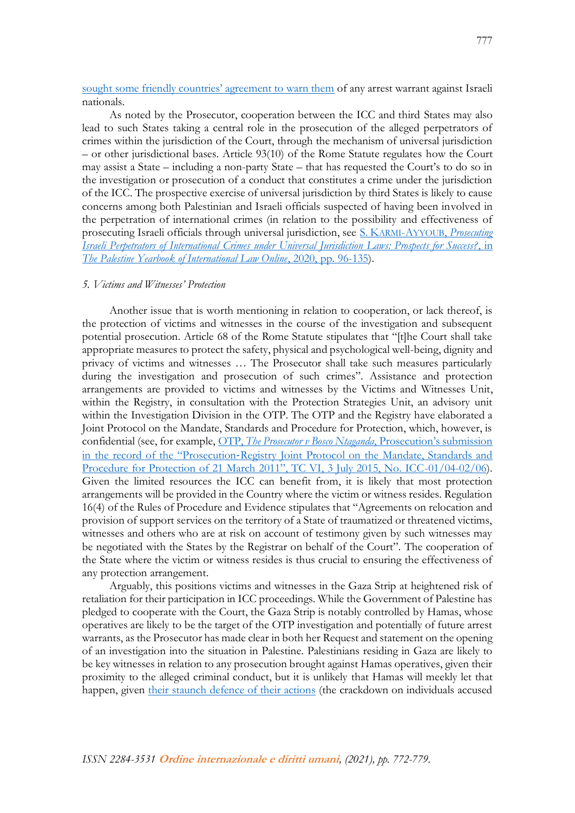[sought some friendly countries' agreement to warn them](https://www.haaretz.com/israel-news/.premium-prosecuting-israelis-could-take-years-but-icc-s-chilling-effect-will-be-immediate-1.9519920) of any arrest warrant against Israeli nationals.

As noted by the Prosecutor, cooperation between the ICC and third States may also lead to such States taking a central role in the prosecution of the alleged perpetrators of crimes within the jurisdiction of the Court, through the mechanism of universal jurisdiction – or other jurisdictional bases. Article 93(10) of the Rome Statute regulates how the Court may assist a State – including a non-party State – that has requested the Court's to do so in the investigation or prosecution of a conduct that constitutes a crime under the jurisdiction of the ICC. The prospective exercise of universal jurisdiction by third States is likely to cause concerns among both Palestinian and Israeli officials suspected of having been involved in the perpetration of international crimes (in relation to the possibility and effectiveness of prosecuting Israeli officials through universal jurisdiction, see S. KARMI-AYYOUB, *[Prosecuting](https://brill.com/view/journals/pyio/19/1/article-p96_4.xml)  [Israeli Perpetrators of International Crimes under Universal Jurisdiction Laws: Prospects for Success?](https://brill.com/view/journals/pyio/19/1/article-p96_4.xml)*, in *[The Palestine Yearbook of International Law Online](https://brill.com/view/journals/pyio/19/1/article-p96_4.xml)*, 2020, pp. 96-135).

#### *5. Victims and Witnesses' Protection*

Another issue that is worth mentioning in relation to cooperation, or lack thereof, is the protection of victims and witnesses in the course of the investigation and subsequent potential prosecution. Article 68 of the Rome Statute stipulates that "[t]he Court shall take appropriate measures to protect the safety, physical and psychological well-being, dignity and privacy of victims and witnesses … The Prosecutor shall take such measures particularly during the investigation and prosecution of such crimes". Assistance and protection arrangements are provided to victims and witnesses by the Victims and Witnesses Unit, within the Registry, in consultation with the Protection Strategies Unit, an advisory unit within the Investigation Division in the OTP. The OTP and the Registry have elaborated a Joint Protocol on the Mandate, Standards and Procedure for Protection, which, however, is confidential (see, for example, OTP, *[The Prosecutor v Bosco Ntaganda](https://www.icc-cpi.int/CourtRecords/CR2015_08822.PDF)*, Prosecution's submission in the record of the "Prosecution‐[Registry Joint Protocol on the Mandate, Standards and](https://www.icc-cpi.int/CourtRecords/CR2015_08822.PDF)  [Procedure for Protection of 21 March 2011", TC VI, 3 July 2015, No. ICC](https://www.icc-cpi.int/CourtRecords/CR2015_08822.PDF)-01/04-02/06). Given the limited resources the ICC can benefit from, it is likely that most protection arrangements will be provided in the Country where the victim or witness resides. Regulation 16(4) of the Rules of Procedure and Evidence stipulates that "Agreements on relocation and provision of support services on the territory of a State of traumatized or threatened victims, witnesses and others who are at risk on account of testimony given by such witnesses may be negotiated with the States by the Registrar on behalf of the Court". The cooperation of the State where the victim or witness resides is thus crucial to ensuring the effectiveness of any protection arrangement.

Arguably, this positions victims and witnesses in the Gaza Strip at heightened risk of retaliation for their participation in ICC proceedings. While the Government of Palestine has pledged to cooperate with the Court, the Gaza Strip is notably controlled by Hamas, whose operatives are likely to be the target of the OTP investigation and potentially of future arrest warrants, as the Prosecutor has made clear in both her Request and statement on the opening of an investigation into the situation in Palestine. Palestinians residing in Gaza are likely to be key witnesses in relation to any prosecution brought against Hamas operatives, given their proximity to the alleged criminal conduct, but it is unlikely that Hamas will meekly let that happen, given [their staunch defence of their actions](https://www.haaretz.com/middle-east-news/palestinians/hamas-defends-legitimate-actions-as-palestinians-welcome-news-of-icc-probe-1.9586715) (the crackdown on individuals accused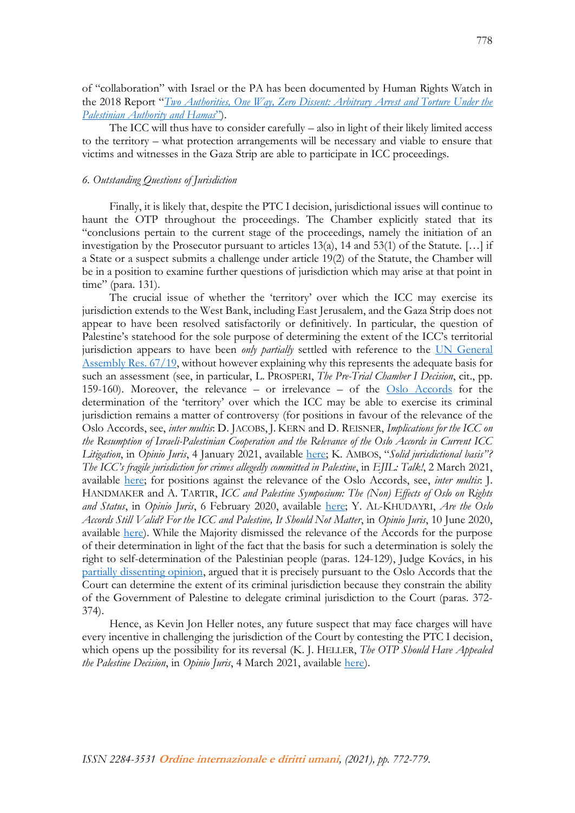of "collaboration" with Israel or the PA has been documented by Human Rights Watch in the 2018 Report "*[Two Authorities, One Way, Zero Dissent: Arbitrary Arrest and Torture Under the](https://www.hrw.org/sites/default/files/report_pdf/palestine1018_web4.pdf)  [Palestinian Authority and Hamas](https://www.hrw.org/sites/default/files/report_pdf/palestine1018_web4.pdf)*").

The ICC will thus have to consider carefully – also in light of their likely limited access to the territory – what protection arrangements will be necessary and viable to ensure that victims and witnesses in the Gaza Strip are able to participate in ICC proceedings.

## *6. Outstanding Questions of Jurisdiction*

Finally, it is likely that, despite the PTC I decision, jurisdictional issues will continue to haunt the OTP throughout the proceedings. The Chamber explicitly stated that its "conclusions pertain to the current stage of the proceedings, namely the initiation of an investigation by the Prosecutor pursuant to articles 13(a), 14 and 53(1) of the Statute. […] if a State or a suspect submits a challenge under article 19(2) of the Statute, the Chamber will be in a position to examine further questions of jurisdiction which may arise at that point in time" (para. 131).

The crucial issue of whether the 'territory' over which the ICC may exercise its jurisdiction extends to the West Bank, including East Jerusalem, and the Gaza Strip does not appear to have been resolved satisfactorily or definitively. In particular, the question of Palestine's statehood for the sole purpose of determining the extent of the ICC's territorial jurisdiction appears to have been *only partially* settled with reference to the [UN General](https://documents-dds-ny.un.org/doc/UNDOC/GEN/N12/479/74/PDF/N1247974.pdf)  [Assembly Res.](https://documents-dds-ny.un.org/doc/UNDOC/GEN/N12/479/74/PDF/N1247974.pdf) 67/19, without however explaining why this represents the adequate basis for such an assessment (see, in particular, L. PROSPERI, *The Pre-Trial Chamber I Decision*, cit., pp. 159-160). Moreover, the relevance – or irrelevance – of the [Oslo Accords](https://www.knesset.gov.il/lexicon/eng/oslo_eng.htm) for the determination of the 'territory' over which the ICC may be able to exercise its criminal jurisdiction remains a matter of controversy (for positions in favour of the relevance of the Oslo Accords, see, *inter multis*: D. JACOBS, J. KERN and D. REISNER, *Implications for the ICC on the Resumption of Israeli-Palestinian Cooperation and the Relevance of the Oslo Accords in Current ICC Litigation*, in *Opinio Juris*, 4 January 2021, available [here;](http://opiniojuris.org/2021/01/04/implications-for-the-icc-on-the-resumption-of-israeli-palestinian-cooperation-and-the-relevance-of-the-oslo-accords-in-current-icc-litigation/) K. AMBOS, "*Solid jurisdictional basis"? The ICC's fragile jurisdiction for crimes allegedly committed in Palestine*, in *EJIL: Talk!*, 2 March 2021, available [here;](https://www.ejiltalk.org/solid-jurisdictional-basis-the-iccs-fragile-jurisdiction-for-crimes-allegedly-committed-in-palestine/?utm_source=mailpoet&utm_medium=email&utm_campaign=ejil-talk-newsletter-post-title_2) for positions against the relevance of the Oslo Accords, see, *inter multis*: J. HANDMAKER and A. TARTIR, *ICC and Palestine Symposium: The (Non) Effects of Oslo on Rights and Status*, in *Opinio Juris*, 6 February 2020, available [here;](http://opiniojuris.org/2020/02/06/icc-and-palestine-symposium-the-non-effects-of-oslo-on-rights-and-status/) Y. AL-KHUDAYRI, *Are the Oslo Accords Still Valid? For the ICC and Palestine, It Should Not Matter*, in *Opinio Juris*, 10 June 2020, available [here\)](http://opiniojuris.org/2020/06/10/are-the-oslo-accords-still-valid-for-the-icc-and-palestine-it-should-not-matter/). While the Majority dismissed the relevance of the Accords for the purpose of their determination in light of the fact that the basis for such a determination is solely the right to self-determination of the Palestinian people (paras. 124-129), Judge Kovács, in his [partially dissenting opinion,](https://www.icc-cpi.int/RelatedRecords/CR2021_01167.PDF) argued that it is precisely pursuant to the Oslo Accords that the Court can determine the extent of its criminal jurisdiction because they constrain the ability of the Government of Palestine to delegate criminal jurisdiction to the Court (paras. 372- 374).

Hence, as Kevin Jon Heller notes, any future suspect that may face charges will have every incentive in challenging the jurisdiction of the Court by contesting the PTC I decision, which opens up the possibility for its reversal (K. J. HELLER, *The OTP Should Have Appealed the Palestine Decision*, in *Opinio Juris*, 4 March 2021, available [here\)](http://opiniojuris.org/2021/03/04/the-otp-should-have-appealed-the-palestine-decision-to-the-appeals-chamber/).